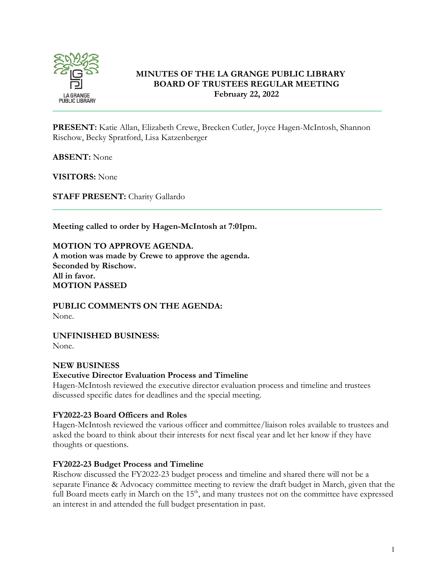

## **MINUTES OF THE LA GRANGE PUBLIC LIBRARY BOARD OF TRUSTEES REGULAR MEETING February 22, 2022**

**PRESENT:** Katie Allan, Elizabeth Crewe, Brecken Cutler, Joyce Hagen-McIntosh, Shannon Rischow, Becky Spratford, Lisa Katzenberger

\_\_\_\_\_\_\_\_\_\_\_\_\_\_\_\_\_\_\_\_\_\_\_\_\_\_\_\_\_\_\_\_\_\_\_\_\_\_\_\_\_\_\_\_\_\_\_\_\_\_\_\_\_\_\_\_\_\_\_\_\_\_\_\_\_\_\_\_\_\_\_\_\_\_\_

**ABSENT:** None

**VISITORS:** None

**STAFF PRESENT:** Charity Gallardo

**Meeting called to order by Hagen-McIntosh at 7:01pm.**

**MOTION TO APPROVE AGENDA. A motion was made by Crewe to approve the agenda. Seconded by Rischow. All in favor. MOTION PASSED**

**PUBLIC COMMENTS ON THE AGENDA:**  None.

**UNFINISHED BUSINESS:** None.

### **NEW BUSINESS**

## **Executive Director Evaluation Process and Timeline**

Hagen-McIntosh reviewed the executive director evaluation process and timeline and trustees discussed specific dates for deadlines and the special meeting.

### **FY2022-23 Board Officers and Roles**

Hagen-McIntosh reviewed the various officer and committee/liaison roles available to trustees and asked the board to think about their interests for next fiscal year and let her know if they have thoughts or questions.

### **FY2022-23 Budget Process and Timeline**

Rischow discussed the FY2022-23 budget process and timeline and shared there will not be a separate Finance & Advocacy committee meeting to review the draft budget in March, given that the full Board meets early in March on the 15<sup>th</sup>, and many trustees not on the committee have expressed an interest in and attended the full budget presentation in past.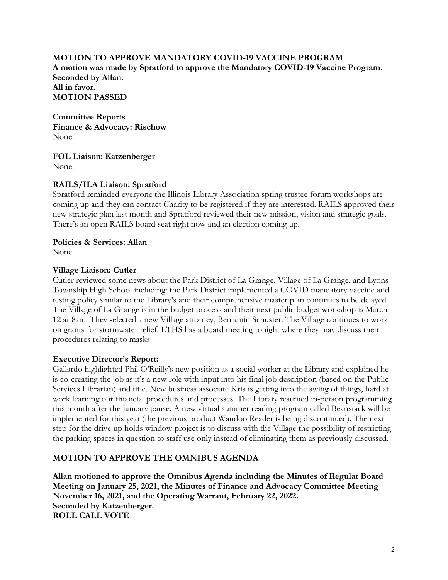### **MOTION TO APPROVE MANDATORY COVID-19 VACCINE PROGRAM**

**A motion was made by Spratford to approve the Mandatory COVID-19 Vaccine Program. Seconded by Allan. All in favor. MOTION PASSED**

**Committee Reports Finance & Advocacy: Rischow** None.

**FOL Liaison: Katzenberger** None.

### **RAILS/ILA Liaison: Spratford**

Spratford reminded everyone the Illinois Library Association spring trustee forum workshops are coming up and they can contact Charity to be registered if they are interested. RAILS approved their new strategic plan last month and Spratford reviewed their new mission, vision and strategic goals. There's an open RAILS board seat right now and an election coming up.

#### **Policies & Services: Allan**

None.

#### **Village Liaison: Cutler**

Cutler reviewed some news about the Park District of La Grange, Village of La Grange, and Lyons Township High School including: the Park District implemented a COVID mandatory vaccine and testing policy similar to the Library's and their comprehensive master plan continues to be delayed. The Village of La Grange is in the budget process and their next public budget workshop is March 12 at 8am. They selected a new Village attorney, Benjamin Schuster. The Village continues to work on grants for stormwater relief. LTHS has a board meeting tonight where they may discuss their procedures relating to masks.

### **Executive Director's Report:**

Gallardo highlighted Phil O'Reilly's new position as a social worker at the Library and explained he is co-creating the job as it's a new role with input into his final job description (based on the Public Services Librarian) and title. New business associate Kris is getting into the swing of things, hard at work learning our financial procedures and processes. The Library resumed in-person programming this month after the January pause. A new virtual summer reading program called Beanstack will be implemented for this year (the previous product Wandoo Reader is being discontinued). The next step for the drive up holds window project is to discuss with the Village the possibility of restricting the parking spaces in question to staff use only instead of eliminating them as previously discussed.

#### **MOTION TO APPROVE THE OMNIBUS AGENDA**

**Allan motioned to approve the Omnibus Agenda including the Minutes of Regular Board Meeting on January 25, 2021, the Minutes of Finance and Advocacy Committee Meeting November 16, 2021, and the Operating Warrant, February 22, 2022. Seconded by Katzenberger. ROLL CALL VOTE**